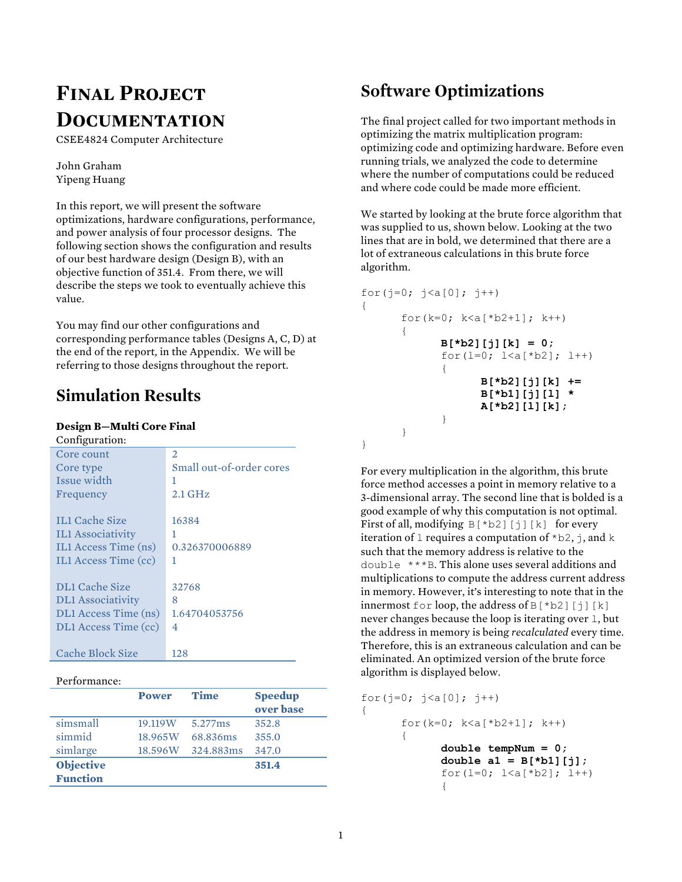# **Final Project Documentation**

CSEE4824 Computer Architecture

John Graham Yipeng Huang

In this report, we will present the software optimizations, hardware configurations, performance, and power analysis of four processor designs. The following section shows the configuration and results of our best hardware design (Design B), with an objective function of 351.4. From there, we will describe the steps we took to eventually achieve this value.

You may find our other configurations and corresponding performance tables (Designs A, C, D) at the end of the report, in the Appendix. We will be referring to those designs throughout the report.

## **Simulation Results**

#### **Design B—Multi Core Final**

| Configuration:           |                          |
|--------------------------|--------------------------|
| Core count               | $\mathfrak{D}$           |
| Core type                | Small out-of-order cores |
| Issue width              | 1                        |
| Frequency                | $2.1$ GHz                |
|                          |                          |
| <b>IL1 Cache Size</b>    | 16384                    |
| <b>IL1</b> Associativity | 1                        |
| IL1 Access Time (ns)     | 0.326370006889           |
| IL1 Access Time (cc)     | 1                        |
|                          |                          |
| <b>DL1 Cache Size</b>    | 32768                    |
| <b>DL1</b> Associativity | 8                        |
| DL1 Access Time (ns)     | 1.64704053756            |
| DL1 Access Time (cc)     | 4                        |
|                          |                          |
| Cache Block Size         | 128                      |

#### Performance:

|                                     | <b>Power</b>                  | <b>Time</b>                       | Speedup<br>over base    |
|-------------------------------------|-------------------------------|-----------------------------------|-------------------------|
| simsmall<br>simmid<br>simlarge      | 19.119W<br>18.965W<br>18.596W | 5.277 ms<br>68.836ms<br>324.883ms | 352.8<br>355.0<br>347.0 |
| <b>Objective</b><br><b>Function</b> |                               |                                   | 351.4                   |

# **Software Optimizations**

The final project called for two important methods in optimizing the matrix multiplication program: optimizing code and optimizing hardware. Before even running trials, we analyzed the code to determine where the number of computations could be reduced and where code could be made more efficient.

We started by looking at the brute force algorithm that was supplied to us, shown below. Looking at the two lines that are in bold, we determined that there are a lot of extraneous calculations in this brute force algorithm.

```
for(j=0; j < a[0]; j++){
      for(k=0; k < a[*b2+1]; k++)
      {
             B[*b2][j][k] = 0;
             for(l=0; 1<a[*b2]; l++)
             {
                   B[*b2][j][k] += 
                   B[*b1][j][l] * 
                   A[*b2][l][k];
             }
      }
}
```
For every multiplication in the algorithm, this brute force method accesses a point in memory relative to a 3-dimensional array. The second line that is bolded is a good example of why this computation is not optimal. First of all, modifying  $B[^*b2][j][k]$  for every iteration of 1 requires a computation of  $\star$  b2,  $\dot{\tau}$ , and k such that the memory address is relative to the double \*\*\*B. This alone uses several additions and multiplications to compute the address current address in memory. However, it's interesting to note that in the innermost for loop, the address of  $B$ [\*b2][j][k] never changes because the loop is iterating over l, but the address in memory is being *recalculated* every time. Therefore, this is an extraneous calculation and can be eliminated. An optimized version of the brute force algorithm is displayed below.

```
for(j=0; j<a[0]; j++){
      for(k=0; k < a[b2+1]; k++)
      {
            double tempNum = 0;
            double a1 = B[*b1][j];
            for(l=0; 1<a[ *b2]; 1++){
```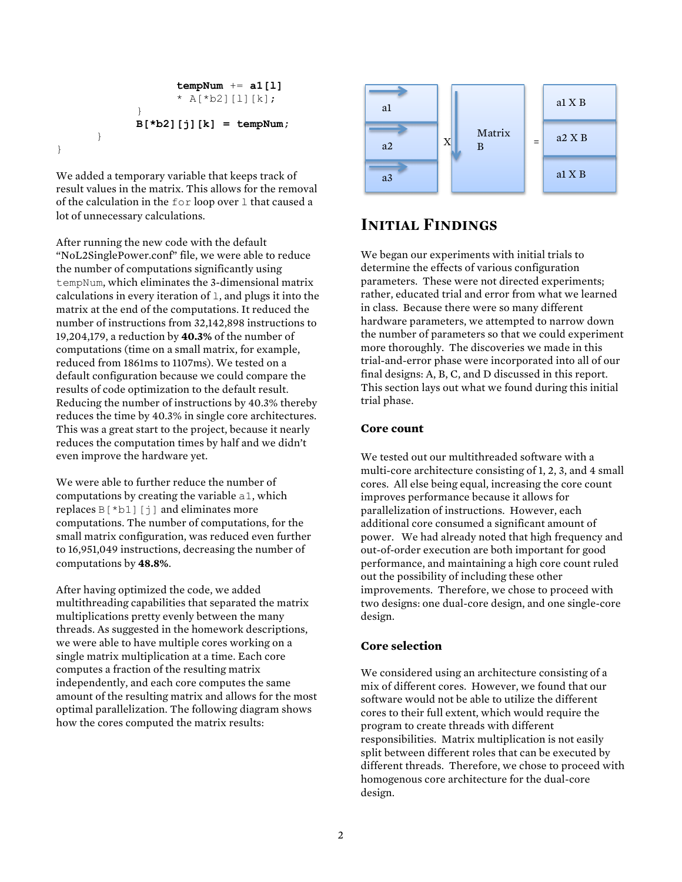```
tempNum += a1[l]
                   * A[*b2][l][k];
             }
            B[*b2][j][k] = tempNum;
      }
}
```
We added a temporary variable that keeps track of result values in the matrix. This allows for the removal of the calculation in the for loop over l that caused a lot of unnecessary calculations.

After running the new code with the default "NoL2SinglePower.conf" file, we were able to reduce the number of computations significantly using tempNum, which eliminates the 3-dimensional matrix calculations in every iteration of  $\perp$ , and plugs it into the matrix at the end of the computations. It reduced the number of instructions from 32,142,898 instructions to 19,204,179, a reduction by **40.3%** of the number of computations (time on a small matrix, for example, reduced from 1861ms to 1107ms). We tested on a default configuration because we could compare the results of code optimization to the default result. Reducing the number of instructions by 40.3% thereby reduces the time by 40.3% in single core architectures. This was a great start to the project, because it nearly reduces the computation times by half and we didn't even improve the hardware yet.

We were able to further reduce the number of computations by creating the variable a1, which replaces  $B[ *b1] [j]$  and eliminates more computations. The number of computations, for the small matrix configuration, was reduced even further to 16,951,049 instructions, decreasing the number of computations by **48.8%**.

After having optimized the code, we added multithreading capabilities that separated the matrix multiplications pretty evenly between the many threads. As suggested in the homework descriptions, we were able to have multiple cores working on a single matrix multiplication at a time. Each core computes a fraction of the resulting matrix independently, and each core computes the same amount of the resulting matrix and allows for the most optimal parallelization. The following diagram shows how the cores computed the matrix results:



### **Initial Findings**

We began our experiments with initial trials to determine the effects of various configuration parameters. These were not directed experiments; rather, educated trial and error from what we learned in class. Because there were so many different hardware parameters, we attempted to narrow down the number of parameters so that we could experiment more thoroughly. The discoveries we made in this trial-and-error phase were incorporated into all of our final designs: A, B, C, and D discussed in this report. This section lays out what we found during this initial trial phase.

#### **Core count**

We tested out our multithreaded software with a multi-core architecture consisting of 1, 2, 3, and 4 small cores. All else being equal, increasing the core count improves performance because it allows for parallelization of instructions. However, each additional core consumed a significant amount of power. We had already noted that high frequency and out-of-order execution are both important for good performance, and maintaining a high core count ruled out the possibility of including these other improvements. Therefore, we chose to proceed with two designs: one dual-core design, and one single-core design.

#### **Core selection**

We considered using an architecture consisting of a mix of different cores. However, we found that our software would not be able to utilize the different cores to their full extent, which would require the program to create threads with different responsibilities. Matrix multiplication is not easily split between different roles that can be executed by different threads. Therefore, we chose to proceed with homogenous core architecture for the dual-core design.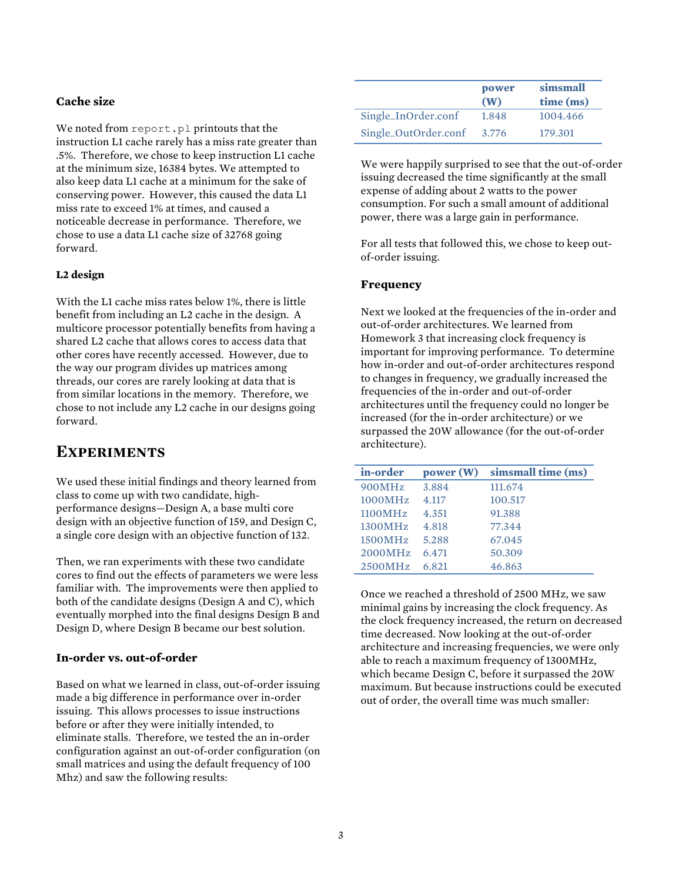#### **Cache size**

We noted from report.pl printouts that the instruction L1 cache rarely has a miss rate greater than .5%. Therefore, we chose to keep instruction L1 cache at the minimum size, 16384 bytes. We attempted to also keep data L1 cache at a minimum for the sake of conserving power. However, this caused the data L1 miss rate to exceed 1% at times, and caused a noticeable decrease in performance. Therefore, we chose to use a data L1 cache size of 32768 going forward.

#### **L2 design**

With the L1 cache miss rates below 1%, there is little benefit from including an L2 cache in the design. A multicore processor potentially benefits from having a shared L2 cache that allows cores to access data that other cores have recently accessed. However, due to the way our program divides up matrices among threads, our cores are rarely looking at data that is from similar locations in the memory. Therefore, we chose to not include any L2 cache in our designs going forward.

### **Experiments**

We used these initial findings and theory learned from class to come up with two candidate, highperformance designs—Design A, a base multi core design with an objective function of 159, and Design C, a single core design with an objective function of 132.

Then, we ran experiments with these two candidate cores to find out the effects of parameters we were less familiar with. The improvements were then applied to both of the candidate designs (Design A and C), which eventually morphed into the final designs Design B and Design D, where Design B became our best solution.

#### **In-order vs. out-of-order**

Based on what we learned in class, out-of-order issuing made a big difference in performance over in-order issuing. This allows processes to issue instructions before or after they were initially intended, to eliminate stalls. Therefore, we tested the an in-order configuration against an out-of-order configuration (on small matrices and using the default frequency of 100 Mhz) and saw the following results:

|                      | power<br><b>(W)</b> | simsmall<br>time (ms) |
|----------------------|---------------------|-----------------------|
| Single_InOrder.conf  | 1.848               | 1004.466              |
| Single_OutOrder.conf | 3.776               | 179.301               |

We were happily surprised to see that the out-of-order issuing decreased the time significantly at the small expense of adding about 2 watts to the power consumption. For such a small amount of additional power, there was a large gain in performance.

For all tests that followed this, we chose to keep outof-order issuing.

#### **Frequency**

Next we looked at the frequencies of the in-order and out-of-order architectures. We learned from Homework 3 that increasing clock frequency is important for improving performance. To determine how in-order and out-of-order architectures respond to changes in frequency, we gradually increased the frequencies of the in-order and out-of-order architectures until the frequency could no longer be increased (for the in-order architecture) or we surpassed the 20W allowance (for the out-of-order architecture).

| in-order | power (W) | simsmall time (ms) |
|----------|-----------|--------------------|
| 900MHz   | 3.884     | 111.674            |
| 1000MHz  | 4.117     | 100.517            |
| 1100MHz  | 4.351     | 91.388             |
| 1300MHz  | 4.818     | 77.344             |
| 1500MHz  | 5.288     | 67.045             |
| 2000MHz  | 6.471     | 50.309             |
| 2500MHz  | 6.821     | 46.863             |

Once we reached a threshold of 2500 MHz, we saw minimal gains by increasing the clock frequency. As the clock frequency increased, the return on decreased time decreased. Now looking at the out-of-order architecture and increasing frequencies, we were only able to reach a maximum frequency of 1300MHz, which became Design C, before it surpassed the 20W maximum. But because instructions could be executed out of order, the overall time was much smaller: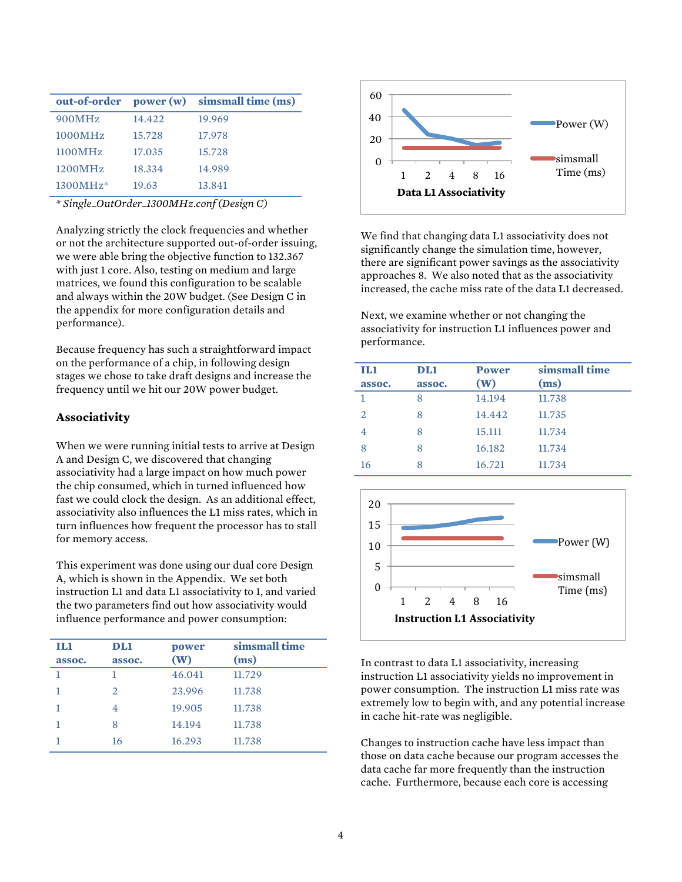| out-of-order | power(w) | simsmall time (ms) |
|--------------|----------|--------------------|
| 900MHz       | 14.422   | 19.969             |
| 1000MHz      | 15.728   | 17.978             |
| 1100MHz      | 17.035   | 15.728             |
| 1200MHz      | 18.334   | 14.989             |
| $1300MHz*$   | 19.63    | 13.841             |

*\* Single\_OutOrder\_1300MHz.conf (Design C)*

Analyzing strictly the clock frequencies and whether or not the architecture supported out-of-order issuing, we were able bring the objective function to 132.367 with just 1 core. Also, testing on medium and large matrices, we found this configuration to be scalable and always within the 20W budget. (See Design C in the appendix for more configuration details and performance).

Because frequency has such a straightforward impact on the performance of a chip, in following design stages we chose to take draft designs and increase the frequency until we hit our 20W power budget.

#### **Associativity**

When we were running initial tests to arrive at Design A and Design C, we discovered that changing associativity had a large impact on how much power the chip consumed, which in turned influenced how fast we could clock the design. As an additional effect, associativity also influences the L1 miss rates, which in turn influences how frequent the processor has to stall for memory access.

This experiment was done using our dual core Design A, which is shown in the Appendix. We set both instruction L1 and data L1 associativity to 1, and varied the two parameters find out how associativity would influence performance and power consumption:

| IL1    | <b>DL1</b>                  | power  | simsmall time |
|--------|-----------------------------|--------|---------------|
| assoc. | assoc.                      | (W)    | (ms)          |
|        |                             | 46.041 | 11.729        |
|        | $\mathcal{D}_{\mathcal{L}}$ | 23.996 | 11.738        |
|        | 4                           | 19.905 | 11.738        |
|        | 8                           | 14.194 | 11.738        |
|        | 16                          | 16.293 | 11.738        |



We find that changing data L1 associativity does not significantly change the simulation time, however, there are significant power savings as the associativity approaches 8. We also noted that as the associativity increased, the cache miss rate of the data L1 decreased.

Next, we examine whether or not changing the associativity for instruction L1 influences power and performance.

| IЫ             | <b>DL1</b> | <b>Power</b> | simsmall time |
|----------------|------------|--------------|---------------|
| assoc.         | assoc.     | (W)          | (ms)          |
|                | 8          | 14.194       | 11.738        |
| $\mathfrak{D}$ | 8          | 14.442       | 11.735        |
| 4              | 8          | 15.111       | 11.734        |
| 8              | 8          | 16.182       | 11.734        |
| 16             | 8          | 16.721       | 11.734        |
|                |            |              |               |



In contrast to data L1 associativity, increasing instruction L1 associativity yields no improvement in power consumption. The instruction L1 miss rate was extremely low to begin with, and any potential increase in cache hit-rate was negligible.

Changes to instruction cache have less impact than those on data cache because our program accesses the data cache far more frequently than the instruction cache. Furthermore, because each core is accessing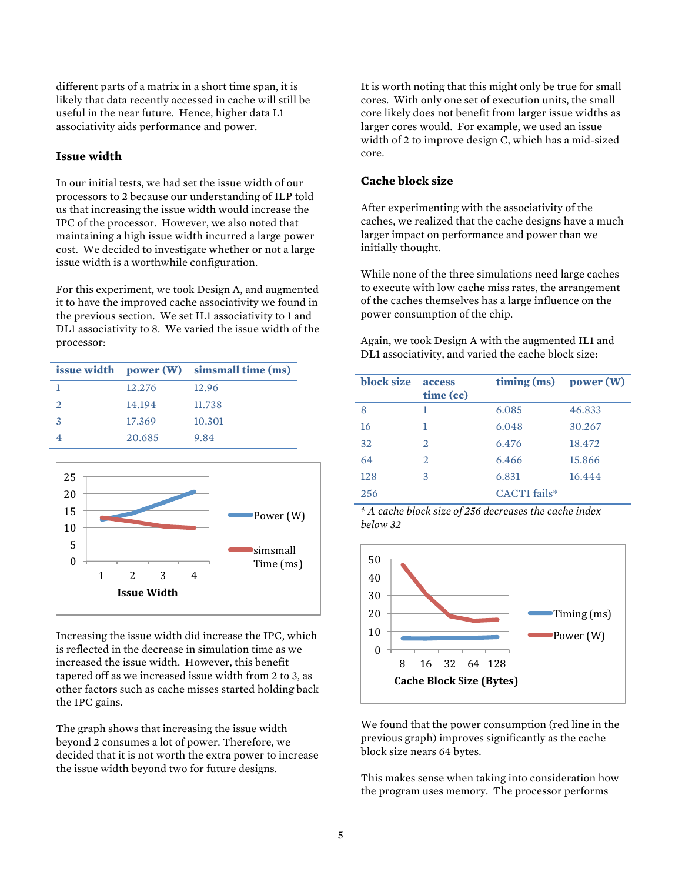different parts of a matrix in a short time span, it is likely that data recently accessed in cache will still be useful in the near future. Hence, higher data L1 associativity aids performance and power.

#### **Issue width**

In our initial tests, we had set the issue width of our processors to 2 because our understanding of ILP told us that increasing the issue width would increase the IPC of the processor. However, we also noted that maintaining a high issue width incurred a large power cost. We decided to investigate whether or not a large issue width is a worthwhile configuration.

For this experiment, we took Design A, and augmented it to have the improved cache associativity we found in the previous section. We set IL1 associativity to 1 and DL1 associativity to 8. We varied the issue width of the processor:

|               |        | issue width power (W) simsmall time (ms) |
|---------------|--------|------------------------------------------|
|               | 12.276 | 12.96                                    |
| $\mathcal{L}$ | 14.194 | 11.738                                   |
| 3             | 17.369 | 10.301                                   |
|               | 20.685 | 9.84                                     |



Increasing the issue width did increase the IPC, which is reflected in the decrease in simulation time as we increased the issue width. However, this benefit tapered off as we increased issue width from 2 to 3, as other factors such as cache misses started holding back the IPC gains.

The graph shows that increasing the issue width beyond 2 consumes a lot of power. Therefore, we decided that it is not worth the extra power to increase the issue width beyond two for future designs.

It is worth noting that this might only be true for small cores. With only one set of execution units, the small core likely does not benefit from larger issue widths as larger cores would. For example, we used an issue width of 2 to improve design C, which has a mid-sized core.

#### **Cache block size**

After experimenting with the associativity of the caches, we realized that the cache designs have a much larger impact on performance and power than we initially thought.

While none of the three simulations need large caches to execute with low cache miss rates, the arrangement of the caches themselves has a large influence on the power consumption of the chip.

Again, we took Design A with the augmented IL1 and DL1 associativity, and varied the cache block size:

| block size | access<br>time (cc) | $\lim_{m \to \infty}$ (ms) power (W) |        |
|------------|---------------------|--------------------------------------|--------|
| 8          |                     | 6.085                                | 46.833 |
| 16         | 1                   | 6.048                                | 30.267 |
| 32         | $\mathfrak{D}$      | 6.476                                | 18.472 |
| 64         | $\mathcal{L}$       | 6.466                                | 15.866 |
| 128        | 3                   | 6.831                                | 16.444 |
| 256        |                     | CACTI fails*                         |        |

*\* A cache block size of 256 decreases the cache index below 32*



We found that the power consumption (red line in the previous graph) improves significantly as the cache block size nears 64 bytes.

This makes sense when taking into consideration how the program uses memory. The processor performs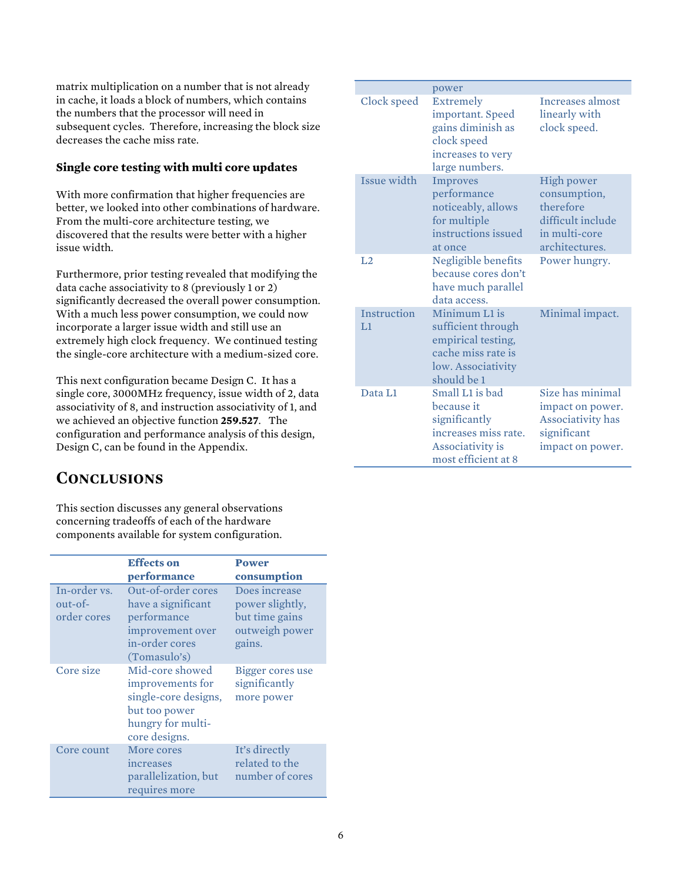matrix multiplication on a number that is not already in cache, it loads a block of numbers, which contains the numbers that the processor will need in subsequent cycles. Therefore, increasing the block size decreases the cache miss rate.

#### **Single core testing with multi core updates**

With more confirmation that higher frequencies are better, we looked into other combinations of hardware. From the multi-core architecture testing, we discovered that the results were better with a higher issue width.

Furthermore, prior testing revealed that modifying the data cache associativity to 8 (previously 1 or 2) significantly decreased the overall power consumption. With a much less power consumption, we could now incorporate a larger issue width and still use an extremely high clock frequency. We continued testing the single-core architecture with a medium-sized core.

This next configuration became Design C. It has a single core, 3000MHz frequency, issue width of 2, data associativity of 8, and instruction associativity of 1, and we achieved an objective function **259.527**. The configuration and performance analysis of this design, Design C, can be found in the Appendix.

### **Conclusions**

This section discusses any general observations concerning tradeoffs of each of the hardware components available for system configuration.

|                                        | <b>Effects on</b>                                                                                                  | <b>Power</b>                                                                   |
|----------------------------------------|--------------------------------------------------------------------------------------------------------------------|--------------------------------------------------------------------------------|
|                                        | performance                                                                                                        | consumption                                                                    |
| In-order vs.<br>out-of-<br>order cores | Out-of-order cores<br>have a significant<br>performance<br>improvement over<br>in-order cores<br>(Tomasulo's)      | Does increase<br>power slightly,<br>but time gains<br>outweigh power<br>gains. |
| Core size                              | Mid-core showed<br>improvements for<br>single-core designs,<br>but too power<br>hungry for multi-<br>core designs. | Bigger cores use<br>significantly<br>more power                                |
| Core count                             | More cores<br>increases<br>parallelization, but<br>requires more                                                   | It's directly<br>related to the<br>number of cores                             |

|                          | power                                                                                                                |                                                                                                        |
|--------------------------|----------------------------------------------------------------------------------------------------------------------|--------------------------------------------------------------------------------------------------------|
| Clock speed              | <b>Extremely</b><br>important. Speed<br>gains diminish as<br>clock speed<br>increases to very<br>large numbers.      | Increases almost<br>linearly with<br>clock speed.                                                      |
| Issue width              | Improves<br>performance<br>noticeably, allows<br>for multiple<br>instructions issued<br>at once                      | <b>High power</b><br>consumption,<br>therefore<br>difficult include<br>in multi-core<br>architectures. |
| L <sub>2</sub>           | Negligible benefits<br>because cores don't<br>have much parallel<br>data access.                                     | Power hungry.                                                                                          |
| <b>Instruction</b><br>L1 | Minimum L1 is<br>sufficient through<br>empirical testing,<br>cache miss rate is<br>low. Associativity<br>should be 1 | Minimal impact.                                                                                        |
| Data L1                  | Small L1 is bad<br>because it<br>significantly<br>increases miss rate.<br>Associativity is<br>most efficient at 8    | Size has minimal<br>impact on power.<br>Associativity has<br>significant<br>impact on power.           |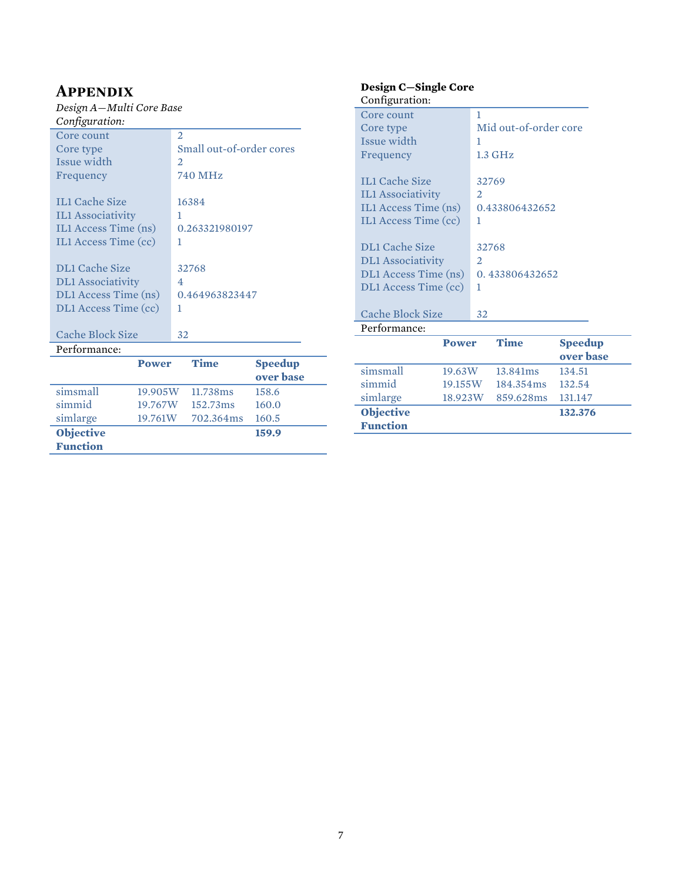### **Appendix**

*Design A—Multi Core Base Configuration:*

| Core count               | $\overline{2}$           |
|--------------------------|--------------------------|
| Core type                | Small out-of-order cores |
| Issue width              | 2                        |
| Frequency                | 740 MHz                  |
|                          |                          |
| <b>IL1 Cache Size</b>    | 16384                    |
| <b>IL1 Associativity</b> | 1                        |
| IL1 Access Time (ns)     | 0.263321980197           |
| IL1 Access Time (cc)     | 1                        |
|                          |                          |
| <b>DL1 Cache Size</b>    | 32768                    |
| <b>DL1</b> Associativity | 4                        |
| DL1 Access Time (ns)     | 0.464963823447           |
| DL1 Access Time (cc)     | 1                        |
|                          |                          |
| Cache Block Size         | 32                       |

Performance:

|                  | <b>Power</b> | <b>Time</b> | <b>Speedup</b><br>over base |
|------------------|--------------|-------------|-----------------------------|
| simsmall         | 19.905W      | 11.738ms    | 158.6                       |
| simmid           | 19.767W      | 152.73ms    | 160.0                       |
| simlarge         | 19.761W      | 702.364ms   | 160.5                       |
| <b>Objective</b> |              |             | 159.9                       |
| <b>Function</b>  |              |             |                             |

#### **Design C—Single Core** Configuration:

| Comnau auon.             |                             |
|--------------------------|-----------------------------|
| Core count               | 1                           |
| Core type                | Mid out-of-order core       |
| Issue width              | 1                           |
| Frequency                | $1.3$ GHz                   |
|                          |                             |
| <b>IL1 Cache Size</b>    | 32769                       |
| <b>IL1 Associativity</b> | $\mathcal{D}_{\mathcal{L}}$ |
| IL1 Access Time (ns)     | 0.433806432652              |
| IL1 Access Time (cc)     | 1                           |
|                          |                             |
| DL1 Cache Size           | 32768                       |
| <b>DL1</b> Associativity | $\mathcal{D}_{\mathcal{L}}$ |
| DL1 Access Time (ns)     | 0.433806432652              |
| DL1 Access Time (cc)     | 1                           |
|                          |                             |

### Cache Block Size 32

Performance:

|                  | <b>Power</b> | <b>Time</b> | <b>Speedup</b><br>over base |
|------------------|--------------|-------------|-----------------------------|
| simsmall         | 19.63W       | 13.841ms    | 134.51                      |
| simmid           | 19.155W      | 184.354ms   | 132.54                      |
| simlarge         | 18.923W      | 859.628ms   | 131.147                     |
| <b>Objective</b> |              |             | 132.376                     |
| <b>Function</b>  |              |             |                             |